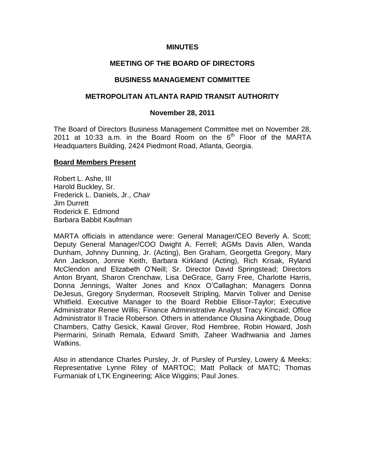### **MINUTES**

# **MEETING OF THE BOARD OF DIRECTORS**

#### **BUSINESS MANAGEMENT COMMITTEE**

### **METROPOLITAN ATLANTA RAPID TRANSIT AUTHORITY**

#### **November 28, 2011**

The Board of Directors Business Management Committee met on November 28, 2011 at 10:33 a.m. in the Board Room on the  $6<sup>th</sup>$  Floor of the MARTA Headquarters Building, 2424 Piedmont Road, Atlanta, Georgia.

#### **Board Members Present**

Robert L. Ashe, III Harold Buckley, Sr. Frederick L. Daniels, Jr., *Chair* Jim Durrett Roderick E. Edmond Barbara Babbit Kaufman

MARTA officials in attendance were: General Manager/CEO Beverly A. Scott; Deputy General Manager/COO Dwight A. Ferrell; AGMs Davis Allen, Wanda Dunham, Johnny Dunning, Jr. (Acting), Ben Graham, Georgetta Gregory, Mary Ann Jackson, Jonnie Keith, Barbara Kirkland (Acting), Rich Krisak, Ryland McClendon and Elizabeth O'Neill; Sr. Director David Springstead; Directors Anton Bryant, Sharon Crenchaw, Lisa DeGrace, Garry Free, Charlotte Harris, Donna Jennings, Walter Jones and Knox O'Callaghan; Managers Donna DeJesus, Gregory Snyderman, Roosevelt Stripling, Marvin Toliver and Denise Whitfield. Executive Manager to the Board Rebbie Ellisor-Taylor; Executive Administrator Renee Willis; Finance Administrative Analyst Tracy Kincaid; Office Administrator II Tracie Roberson. Others in attendance Olusina Akingbade, Doug Chambers, Cathy Gesick, Kawal Grover, Rod Hembree, Robin Howard, Josh Piermarini, Srinath Remala, Edward Smith, Zaheer Wadhwania and James Watkins.

Also in attendance Charles Pursley, Jr. of Pursley of Pursley, Lowery & Meeks; Representative Lynne Riley of MARTOC; Matt Pollack of MATC; Thomas Furmaniak of LTK Engineering; Alice Wiggins; Paul Jones.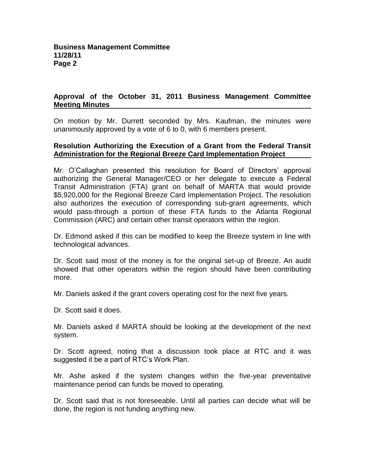# **Approval of the October 31, 2011 Business Management Committee Meeting Minutes**

On motion by Mr. Durrett seconded by Mrs. Kaufman, the minutes were unanimously approved by a vote of 6 to 0, with 6 members present.

### **Resolution Authorizing the Execution of a Grant from the Federal Transit Administration for the Regional Breeze Card Implementation Project**

Mr. O'Callaghan presented this resolution for Board of Directors' approval authorizing the General Manager/CEO or her delegate to execute a Federal Transit Administration (FTA) grant on behalf of MARTA that would provide \$5,920,000 for the Regional Breeze Card Implementation Project. The resolution also authorizes the execution of corresponding sub-grant agreements, which would pass-through a portion of these FTA funds to the Atlanta Regional Commission (ARC) and certain other transit operators within the region.

Dr. Edmond asked if this can be modified to keep the Breeze system in line with technological advances.

Dr. Scott said most of the money is for the original set-up of Breeze. An audit showed that other operators within the region should have been contributing more.

Mr. Daniels asked if the grant covers operating cost for the next five years.

Dr. Scott said it does.

Mr. Daniels asked if MARTA should be looking at the development of the next system.

Dr. Scott agreed, noting that a discussion took place at RTC and it was suggested it be a part of RTC's Work Plan.

Mr. Ashe asked if the system changes within the five-year preventative maintenance period can funds be moved to operating.

Dr. Scott said that is not foreseeable. Until all parties can decide what will be done, the region is not funding anything new.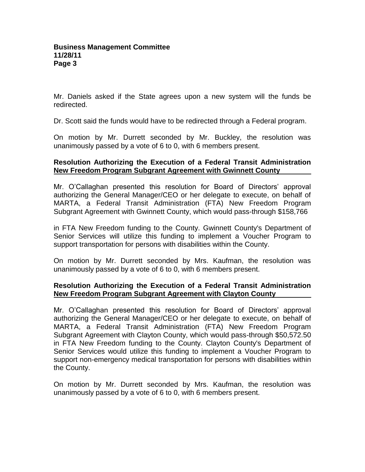Mr. Daniels asked if the State agrees upon a new system will the funds be redirected.

Dr. Scott said the funds would have to be redirected through a Federal program.

On motion by Mr. Durrett seconded by Mr. Buckley, the resolution was unanimously passed by a vote of 6 to 0, with 6 members present.

# **Resolution Authorizing the Execution of a Federal Transit Administration New Freedom Program Subgrant Agreement with Gwinnett County**

Mr. O'Callaghan presented this resolution for Board of Directors' approval authorizing the General Manager/CEO or her delegate to execute, on behalf of MARTA, a Federal Transit Administration (FTA) New Freedom Program Subgrant Agreement with Gwinnett County, which would pass-through \$158,766

in FTA New Freedom funding to the County. Gwinnett County's Department of Senior Services will utilize this funding to implement a Voucher Program to support transportation for persons with disabilities within the County.

On motion by Mr. Durrett seconded by Mrs. Kaufman, the resolution was unanimously passed by a vote of 6 to 0, with 6 members present.

# **Resolution Authorizing the Execution of a Federal Transit Administration New Freedom Program Subgrant Agreement with Clayton County**

Mr. O'Callaghan presented this resolution for Board of Directors' approval authorizing the General Manager/CEO or her delegate to execute, on behalf of MARTA, a Federal Transit Administration (FTA) New Freedom Program Subgrant Agreement with Clayton County, which would pass-through \$50,572.50 in FTA New Freedom funding to the County. Clayton County's Department of Senior Services would utilize this funding to implement a Voucher Program to support non-emergency medical transportation for persons with disabilities within the County.

On motion by Mr. Durrett seconded by Mrs. Kaufman, the resolution was unanimously passed by a vote of 6 to 0, with 6 members present.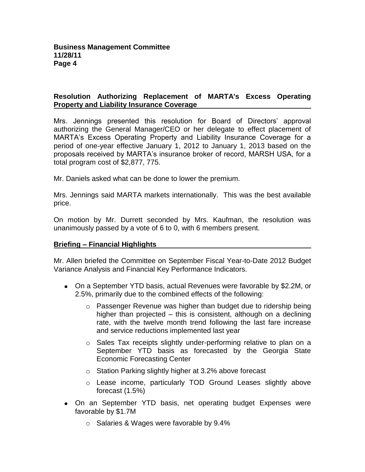# **Resolution Authorizing Replacement of MARTA's Excess Operating Property and Liability Insurance Coverage**

Mrs. Jennings presented this resolution for Board of Directors' approval authorizing the General Manager/CEO or her delegate to effect placement of MARTA's Excess Operating Property and Liability Insurance Coverage for a period of one-year effective January 1, 2012 to January 1, 2013 based on the proposals received by MARTA's insurance broker of record, MARSH USA, for a total program cost of \$2,877, 775.

Mr. Daniels asked what can be done to lower the premium.

Mrs. Jennings said MARTA markets internationally. This was the best available price.

On motion by Mr. Durrett seconded by Mrs. Kaufman, the resolution was unanimously passed by a vote of 6 to 0, with 6 members present.

# **Briefing – Financial Highlights**

Mr. Allen briefed the Committee on September Fiscal Year-to-Date 2012 Budget Variance Analysis and Financial Key Performance Indicators.

- On a September YTD basis, actual Revenues were favorable by \$2.2M, or 2.5%, primarily due to the combined effects of the following:
	- $\circ$  Passenger Revenue was higher than budget due to ridership being higher than projected – this is consistent, although on a declining rate, with the twelve month trend following the last fare increase and service reductions implemented last year
	- $\circ$  Sales Tax receipts slightly under-performing relative to plan on a September YTD basis as forecasted by the Georgia State Economic Forecasting Center
	- o Station Parking slightly higher at 3.2% above forecast
	- o Lease income, particularly TOD Ground Leases slightly above forecast (1.5%)
- On an September YTD basis, net operating budget Expenses were favorable by \$1.7M
	- o Salaries & Wages were favorable by 9.4%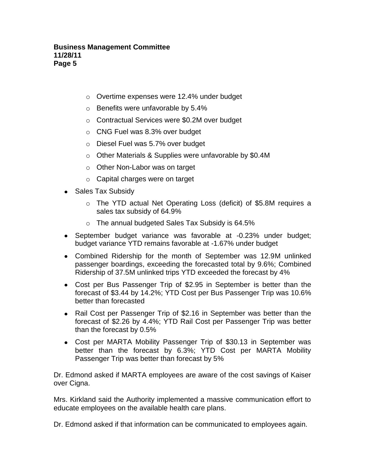- o Overtime expenses were 12.4% under budget
- o Benefits were unfavorable by 5.4%
- o Contractual Services were \$0.2M over budget
- o CNG Fuel was 8.3% over budget
- o Diesel Fuel was 5.7% over budget
- o Other Materials & Supplies were unfavorable by \$0.4M
- o Other Non-Labor was on target
- o Capital charges were on target
- Sales Tax Subsidy
	- o The YTD actual Net Operating Loss (deficit) of \$5.8M requires a sales tax subsidy of 64.9%
	- o The annual budgeted Sales Tax Subsidy is 64.5%
- September budget variance was favorable at -0.23% under budget; budget variance YTD remains favorable at -1.67% under budget
- Combined Ridership for the month of September was 12.9M unlinked passenger boardings, exceeding the forecasted total by 9.6%; Combined Ridership of 37.5M unlinked trips YTD exceeded the forecast by 4%
- Cost per Bus Passenger Trip of \$2.95 in September is better than the forecast of \$3.44 by 14.2%; YTD Cost per Bus Passenger Trip was 10.6% better than forecasted
- Rail Cost per Passenger Trip of \$2.16 in September was better than the forecast of \$2.26 by 4.4%; YTD Rail Cost per Passenger Trip was better than the forecast by 0.5%
- Cost per MARTA Mobility Passenger Trip of \$30.13 in September was better than the forecast by 6.3%; YTD Cost per MARTA Mobility Passenger Trip was better than forecast by 5%

Dr. Edmond asked if MARTA employees are aware of the cost savings of Kaiser over Cigna.

Mrs. Kirkland said the Authority implemented a massive communication effort to educate employees on the available health care plans.

Dr. Edmond asked if that information can be communicated to employees again.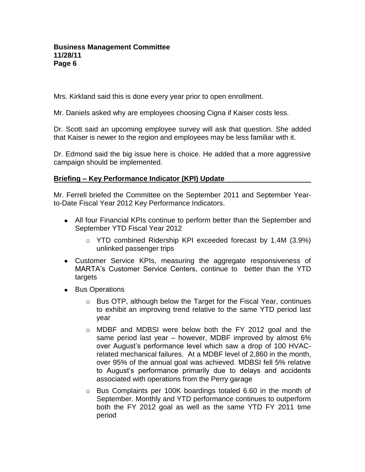### **Business Management Committee 11/28/11 Page 6**

Mrs. Kirkland said this is done every year prior to open enrollment.

Mr. Daniels asked why are employees choosing Cigna if Kaiser costs less.

Dr. Scott said an upcoming employee survey will ask that question. She added that Kaiser is newer to the region and employees may be less familiar with it.

Dr. Edmond said the big issue here is choice. He added that a more aggressive campaign should be implemented.

### **Briefing – Key Performance Indicator (KPI) Update**

Mr. Ferrell briefed the Committee on the September 2011 and September Yearto-Date Fiscal Year 2012 Key Performance Indicators.

- All four Financial KPIs continue to perform better than the September and September YTD Fiscal Year 2012
	- o YTD combined Ridership KPI exceeded forecast by 1.4M (3.9%) unlinked passenger trips
- Customer Service KPIs, measuring the aggregate responsiveness of MARTA's Customer Service Centers, continue to better than the YTD targets
- Bus Operations
	- o Bus OTP, although below the Target for the Fiscal Year, continues to exhibit an improving trend relative to the same YTD period last year
	- o MDBF and MDBSI were below both the FY 2012 goal and the same period last year – however, MDBF improved by almost 6% over August's performance level which saw a drop of 100 HVACrelated mechanical failures. At a MDBF level of 2,860 in the month, over 95% of the annual goal was achieved. MDBSI fell 5% relative to August's performance primarily due to delays and accidents associated with operations from the Perry garage
	- $\circ$  Bus Complaints per 100K boardings totaled 6.60 in the month of September. Monthly and YTD performance continues to outperform both the FY 2012 goal as well as the same YTD FY 2011 time period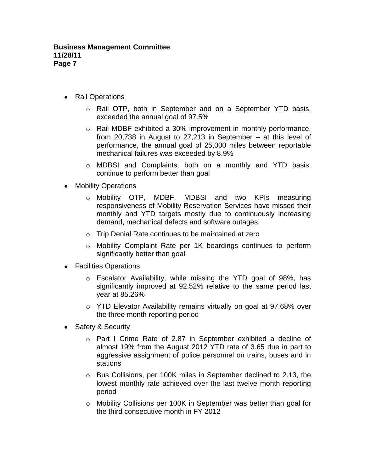- Rail Operations
	- o Rail OTP, both in September and on a September YTD basis, exceeded the annual goal of 97.5%
	- o Rail MDBF exhibited a 30% improvement in monthly performance, from 20,738 in August to 27,213 in September – at this level of performance, the annual goal of 25,000 miles between reportable mechanical failures was exceeded by 8.9%
	- o MDBSI and Complaints, both on a monthly and YTD basis, continue to perform better than goal
- $\bullet$ Mobility Operations
	- o Mobility OTP, MDBF, MDBSI and two KPIs measuring responsiveness of Mobility Reservation Services have missed their monthly and YTD targets mostly due to continuously increasing demand, mechanical defects and software outages.
	- o Trip Denial Rate continues to be maintained at zero
	- o Mobility Complaint Rate per 1K boardings continues to perform significantly better than goal
- Facilities Operations
	- o Escalator Availability, while missing the YTD goal of 98%, has significantly improved at 92.52% relative to the same period last year at 85.26%
	- $\circ$  YTD Elevator Availability remains virtually on goal at 97.68% over the three month reporting period
- Safety & Security
	- o Part I Crime Rate of 2.87 in September exhibited a decline of almost 19% from the August 2012 YTD rate of 3.65 due in part to aggressive assignment of police personnel on trains, buses and in stations
	- o Bus Collisions, per 100K miles in September declined to 2.13, the lowest monthly rate achieved over the last twelve month reporting period
	- o Mobility Collisions per 100K in September was better than goal for the third consecutive month in FY 2012